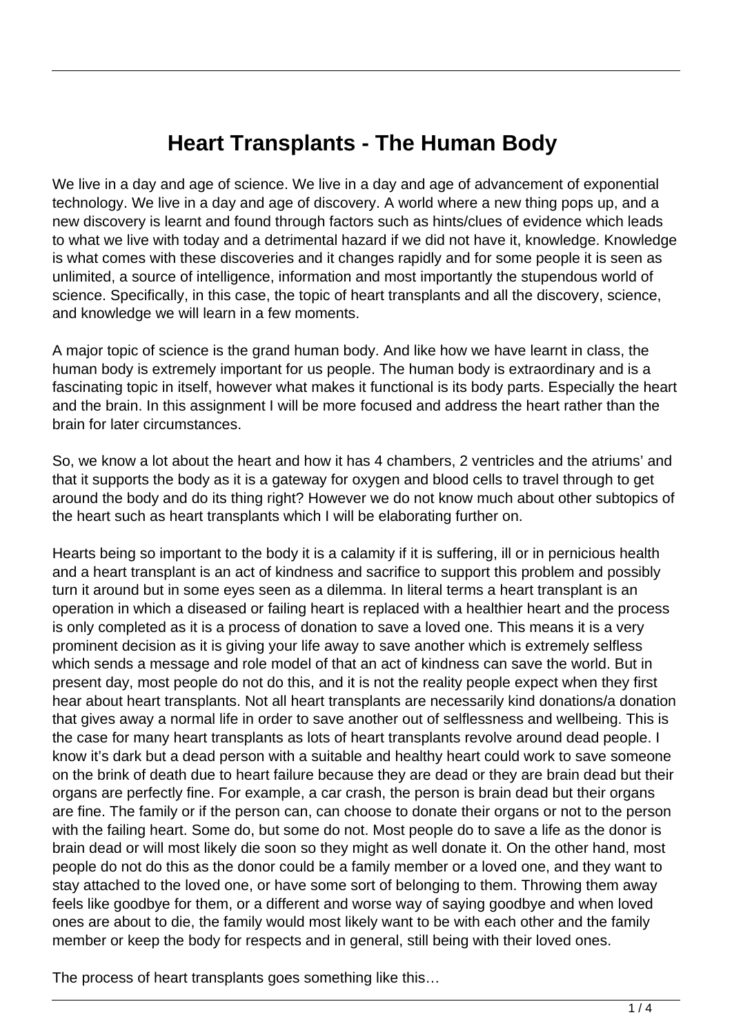## **Heart Transplants - The Human Body**

We live in a day and age of science. We live in a day and age of advancement of exponential technology. We live in a day and age of discovery. A world where a new thing pops up, and a new discovery is learnt and found through factors such as hints/clues of evidence which leads to what we live with today and a detrimental hazard if we did not have it, knowledge. Knowledge is what comes with these discoveries and it changes rapidly and for some people it is seen as unlimited, a source of intelligence, information and most importantly the stupendous world of science. Specifically, in this case, the topic of heart transplants and all the discovery, science, and knowledge we will learn in a few moments.

A major topic of science is the grand human body. And like how we have learnt in class, the human body is extremely important for us people. The human body is extraordinary and is a fascinating topic in itself, however what makes it functional is its body parts. Especially the heart and the brain. In this assignment I will be more focused and address the heart rather than the brain for later circumstances.

So, we know a lot about the heart and how it has 4 chambers, 2 ventricles and the atriums' and that it supports the body as it is a gateway for oxygen and blood cells to travel through to get around the body and do its thing right? However we do not know much about other subtopics of the heart such as heart transplants which I will be elaborating further on.

Hearts being so important to the body it is a calamity if it is suffering, ill or in pernicious health and a heart transplant is an act of kindness and sacrifice to support this problem and possibly turn it around but in some eyes seen as a dilemma. In literal terms a heart transplant is an operation in which a diseased or failing heart is replaced with a healthier heart and the process is only completed as it is a process of donation to save a loved one. This means it is a very prominent decision as it is giving your life away to save another which is extremely selfless which sends a message and role model of that an act of kindness can save the world. But in present day, most people do not do this, and it is not the reality people expect when they first hear about heart transplants. Not all heart transplants are necessarily kind donations/a donation that gives away a normal life in order to save another out of selflessness and wellbeing. This is the case for many heart transplants as lots of heart transplants revolve around dead people. I know it's dark but a dead person with a suitable and healthy heart could work to save someone on the brink of death due to heart failure because they are dead or they are brain dead but their organs are perfectly fine. For example, a car crash, the person is brain dead but their organs are fine. The family or if the person can, can choose to donate their organs or not to the person with the failing heart. Some do, but some do not. Most people do to save a life as the donor is brain dead or will most likely die soon so they might as well donate it. On the other hand, most people do not do this as the donor could be a family member or a loved one, and they want to stay attached to the loved one, or have some sort of belonging to them. Throwing them away feels like goodbye for them, or a different and worse way of saying goodbye and when loved ones are about to die, the family would most likely want to be with each other and the family member or keep the body for respects and in general, still being with their loved ones.

The process of heart transplants goes something like this…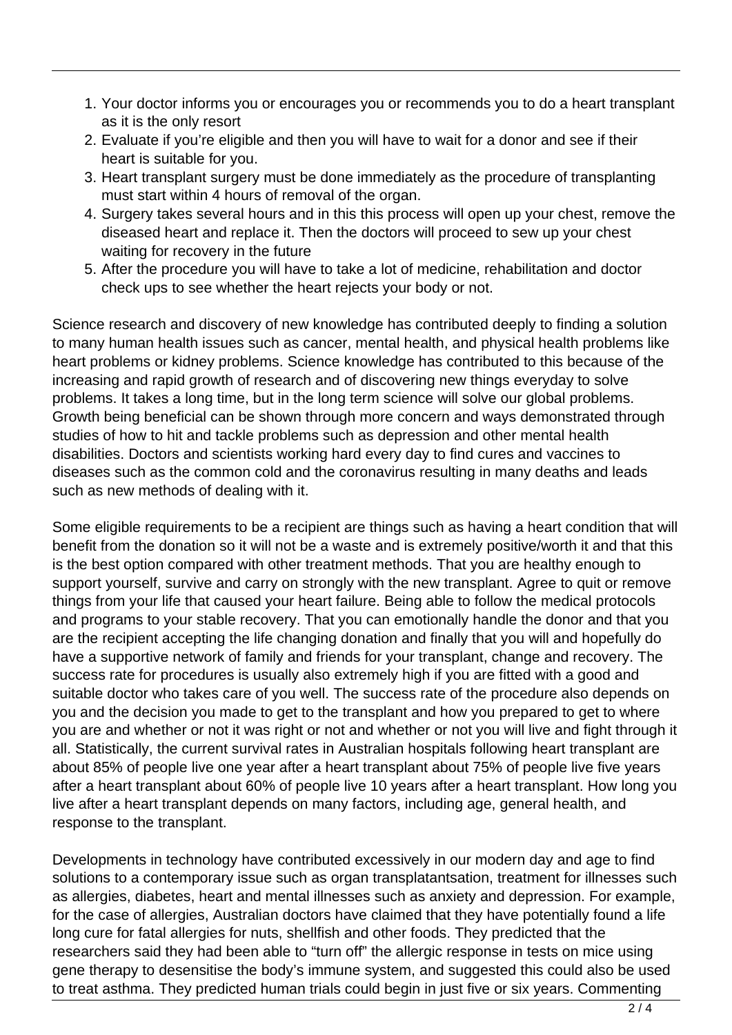- 1. Your doctor informs you or encourages you or recommends you to do a heart transplant as it is the only resort
- 2. Evaluate if you're eligible and then you will have to wait for a donor and see if their heart is suitable for you.
- 3. Heart transplant surgery must be done immediately as the procedure of transplanting must start within 4 hours of removal of the organ.
- 4. Surgery takes several hours and in this this process will open up your chest, remove the diseased heart and replace it. Then the doctors will proceed to sew up your chest waiting for recovery in the future
- 5. After the procedure you will have to take a lot of medicine, rehabilitation and doctor check ups to see whether the heart rejects your body or not.

Science research and discovery of new knowledge has contributed deeply to finding a solution to many human health issues such as cancer, mental health, and physical health problems like heart problems or kidney problems. Science knowledge has contributed to this because of the increasing and rapid growth of research and of discovering new things everyday to solve problems. It takes a long time, but in the long term science will solve our global problems. Growth being beneficial can be shown through more concern and ways demonstrated through studies of how to hit and tackle problems such as depression and other mental health disabilities. Doctors and scientists working hard every day to find cures and vaccines to diseases such as the common cold and the coronavirus resulting in many deaths and leads such as new methods of dealing with it.

Some eligible requirements to be a recipient are things such as having a heart condition that will benefit from the donation so it will not be a waste and is extremely positive/worth it and that this is the best option compared with other treatment methods. That you are healthy enough to support yourself, survive and carry on strongly with the new transplant. Agree to quit or remove things from your life that caused your heart failure. Being able to follow the medical protocols and programs to your stable recovery. That you can emotionally handle the donor and that you are the recipient accepting the life changing donation and finally that you will and hopefully do have a supportive network of family and friends for your transplant, change and recovery. The success rate for procedures is usually also extremely high if you are fitted with a good and suitable doctor who takes care of you well. The success rate of the procedure also depends on you and the decision you made to get to the transplant and how you prepared to get to where you are and whether or not it was right or not and whether or not you will live and fight through it all. Statistically, the current survival rates in Australian hospitals following heart transplant are about 85% of people live one year after a heart transplant about 75% of people live five years after a heart transplant about 60% of people live 10 years after a heart transplant. How long you live after a heart transplant depends on many factors, including age, general health, and response to the transplant.

Developments in technology have contributed excessively in our modern day and age to find solutions to a contemporary issue such as organ transplatantsation, treatment for illnesses such as allergies, diabetes, heart and mental illnesses such as anxiety and depression. For example, for the case of allergies, Australian doctors have claimed that they have potentially found a life long cure for fatal allergies for nuts, shellfish and other foods. They predicted that the researchers said they had been able to "turn off" the allergic response in tests on mice using gene therapy to desensitise the body's immune system, and suggested this could also be used to treat asthma. They predicted human trials could begin in just five or six years. Commenting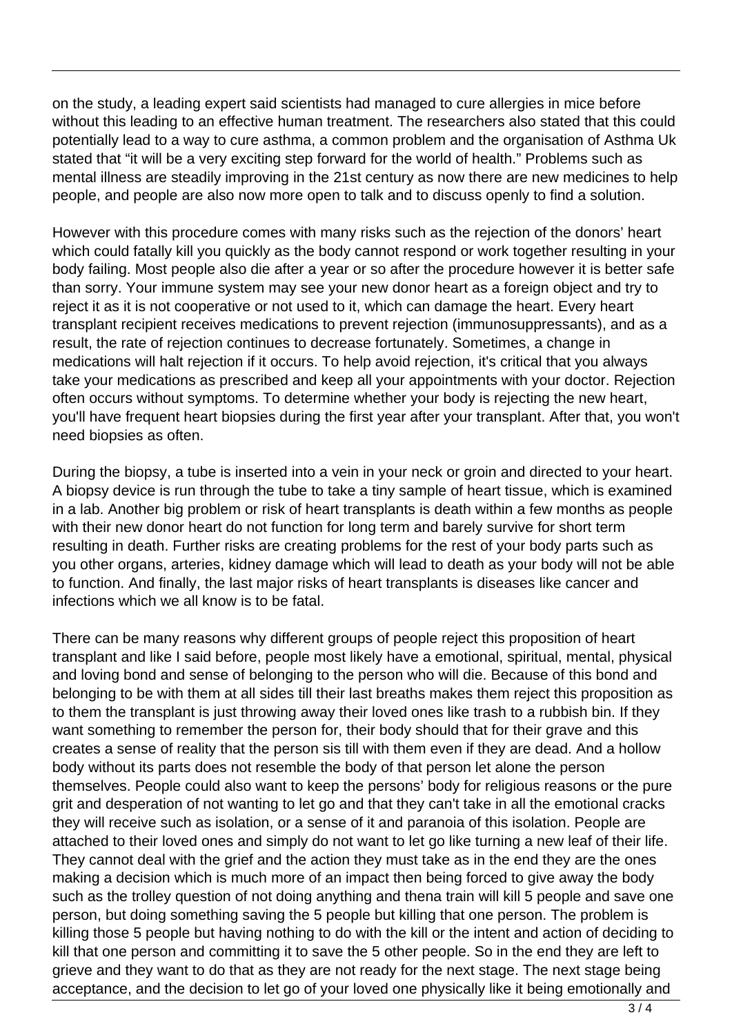on the study, a leading expert said scientists had managed to cure allergies in mice before without this leading to an effective human treatment. The researchers also stated that this could potentially lead to a way to cure asthma, a common problem and the organisation of Asthma Uk stated that "it will be a very exciting step forward for the world of health." Problems such as mental illness are steadily improving in the 21st century as now there are new medicines to help people, and people are also now more open to talk and to discuss openly to find a solution.

However with this procedure comes with many risks such as the rejection of the donors' heart which could fatally kill you quickly as the body cannot respond or work together resulting in your body failing. Most people also die after a year or so after the procedure however it is better safe than sorry. Your immune system may see your new donor heart as a foreign object and try to reject it as it is not cooperative or not used to it, which can damage the heart. Every heart transplant recipient receives medications to prevent rejection (immunosuppressants), and as a result, the rate of rejection continues to decrease fortunately. Sometimes, a change in medications will halt rejection if it occurs. To help avoid rejection, it's critical that you always take your medications as prescribed and keep all your appointments with your doctor. Rejection often occurs without symptoms. To determine whether your body is rejecting the new heart, you'll have frequent heart biopsies during the first year after your transplant. After that, you won't need biopsies as often.

During the biopsy, a tube is inserted into a vein in your neck or groin and directed to your heart. A biopsy device is run through the tube to take a tiny sample of heart tissue, which is examined in a lab. Another big problem or risk of heart transplants is death within a few months as people with their new donor heart do not function for long term and barely survive for short term resulting in death. Further risks are creating problems for the rest of your body parts such as you other organs, arteries, kidney damage which will lead to death as your body will not be able to function. And finally, the last major risks of heart transplants is diseases like cancer and infections which we all know is to be fatal.

There can be many reasons why different groups of people reject this proposition of heart transplant and like I said before, people most likely have a emotional, spiritual, mental, physical and loving bond and sense of belonging to the person who will die. Because of this bond and belonging to be with them at all sides till their last breaths makes them reject this proposition as to them the transplant is just throwing away their loved ones like trash to a rubbish bin. If they want something to remember the person for, their body should that for their grave and this creates a sense of reality that the person sis till with them even if they are dead. And a hollow body without its parts does not resemble the body of that person let alone the person themselves. People could also want to keep the persons' body for religious reasons or the pure grit and desperation of not wanting to let go and that they can't take in all the emotional cracks they will receive such as isolation, or a sense of it and paranoia of this isolation. People are attached to their loved ones and simply do not want to let go like turning a new leaf of their life. They cannot deal with the grief and the action they must take as in the end they are the ones making a decision which is much more of an impact then being forced to give away the body such as the trolley question of not doing anything and thena train will kill 5 people and save one person, but doing something saving the 5 people but killing that one person. The problem is killing those 5 people but having nothing to do with the kill or the intent and action of deciding to kill that one person and committing it to save the 5 other people. So in the end they are left to grieve and they want to do that as they are not ready for the next stage. The next stage being acceptance, and the decision to let go of your loved one physically like it being emotionally and